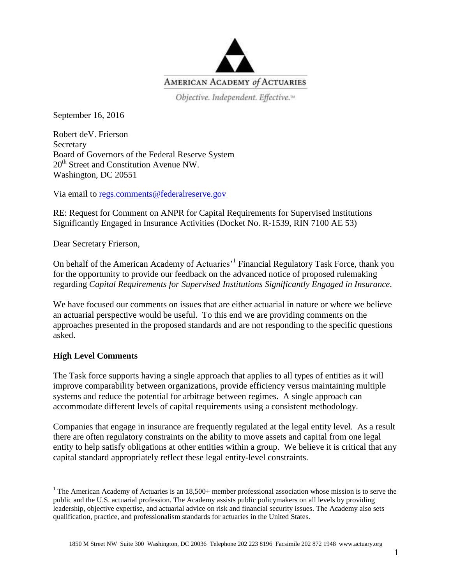

Objective. Independent. Effective.<sup>14</sup>

September 16, 2016

Robert deV. Frierson **Secretary** Board of Governors of the Federal Reserve System 20<sup>th</sup> Street and Constitution Avenue NW. Washington, DC 20551

Via email to [regs.comments@federalreserve.gov](mailto:regs.comments@federalreserve.gov)

RE: Request for Comment on ANPR for Capital Requirements for Supervised Institutions Significantly Engaged in Insurance Activities (Docket No. R-1539, RIN 7100 AE 53)

Dear Secretary Frierson,

On behalf of the American Academy of Actuaries<sup>, 1</sup> Financial Regulatory Task Force, thank you for the opportunity to provide our feedback on the advanced notice of proposed rulemaking regarding *Capital Requirements for Supervised Institutions Significantly Engaged in Insurance*.

We have focused our comments on issues that are either actuarial in nature or where we believe an actuarial perspective would be useful. To this end we are providing comments on the approaches presented in the proposed standards and are not responding to the specific questions asked.

# **High Level Comments**

 $\overline{a}$ 

The Task force supports having a single approach that applies to all types of entities as it will improve comparability between organizations, provide efficiency versus maintaining multiple systems and reduce the potential for arbitrage between regimes. A single approach can accommodate different levels of capital requirements using a consistent methodology.

Companies that engage in insurance are frequently regulated at the legal entity level. As a result there are often regulatory constraints on the ability to move assets and capital from one legal entity to help satisfy obligations at other entities within a group. We believe it is critical that any capital standard appropriately reflect these legal entity-level constraints.

<sup>&</sup>lt;sup>1</sup> The American Academy of Actuaries is an  $18,500+$  member professional association whose mission is to serve the public and the U.S. actuarial profession. The Academy assists public policymakers on all levels by providing leadership, objective expertise, and actuarial advice on risk and financial security issues. The Academy also sets qualification, practice, and professionalism standards for actuaries in the United States.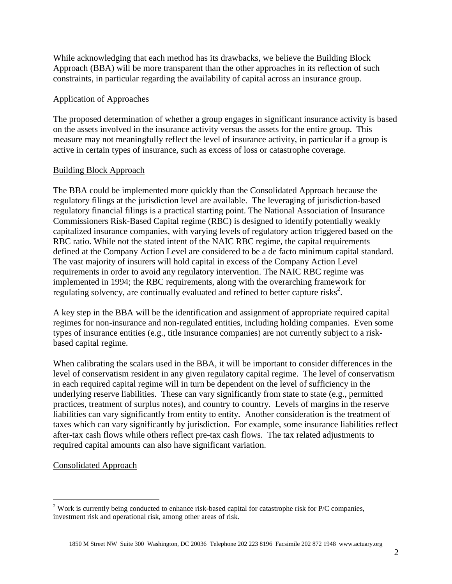While acknowledging that each method has its drawbacks, we believe the Building Block Approach (BBA) will be more transparent than the other approaches in its reflection of such constraints, in particular regarding the availability of capital across an insurance group.

### Application of Approaches

The proposed determination of whether a group engages in significant insurance activity is based on the assets involved in the insurance activity versus the assets for the entire group. This measure may not meaningfully reflect the level of insurance activity, in particular if a group is active in certain types of insurance, such as excess of loss or catastrophe coverage.

### Building Block Approach

The BBA could be implemented more quickly than the Consolidated Approach because the regulatory filings at the jurisdiction level are available. The leveraging of jurisdiction-based regulatory financial filings is a practical starting point. The National Association of Insurance Commissioners Risk-Based Capital regime (RBC) is designed to identify potentially weakly capitalized insurance companies, with varying levels of regulatory action triggered based on the RBC ratio. While not the stated intent of the NAIC RBC regime, the capital requirements defined at the Company Action Level are considered to be a de facto minimum capital standard. The vast majority of insurers will hold capital in excess of the Company Action Level requirements in order to avoid any regulatory intervention. The NAIC RBC regime was implemented in 1994; the RBC requirements, along with the overarching framework for regulating solvency, are continually evaluated and refined to better capture risks<sup>2</sup>.

A key step in the BBA will be the identification and assignment of appropriate required capital regimes for non-insurance and non-regulated entities, including holding companies. Even some types of insurance entities (e.g., title insurance companies) are not currently subject to a riskbased capital regime.

When calibrating the scalars used in the BBA, it will be important to consider differences in the level of conservatism resident in any given regulatory capital regime. The level of conservatism in each required capital regime will in turn be dependent on the level of sufficiency in the underlying reserve liabilities. These can vary significantly from state to state (e.g., permitted practices, treatment of surplus notes), and country to country. Levels of margins in the reserve liabilities can vary significantly from entity to entity. Another consideration is the treatment of taxes which can vary significantly by jurisdiction. For example, some insurance liabilities reflect after-tax cash flows while others reflect pre-tax cash flows. The tax related adjustments to required capital amounts can also have significant variation.

# Consolidated Approach

 $\overline{a}$ 

<sup>&</sup>lt;sup>2</sup> Work is currently being conducted to enhance risk-based capital for catastrophe risk for P/C companies, investment risk and operational risk, among other areas of risk.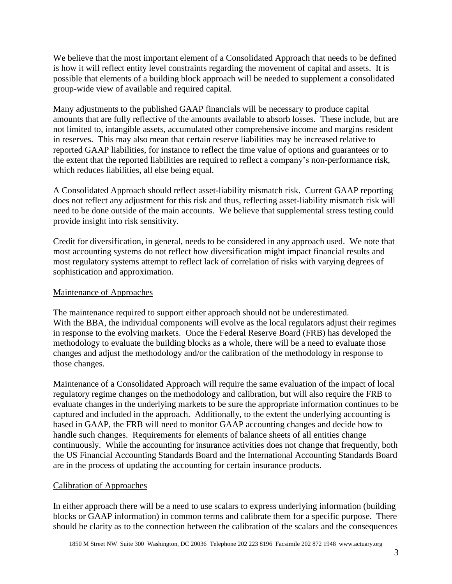We believe that the most important element of a Consolidated Approach that needs to be defined is how it will reflect entity level constraints regarding the movement of capital and assets. It is possible that elements of a building block approach will be needed to supplement a consolidated group-wide view of available and required capital.

Many adjustments to the published GAAP financials will be necessary to produce capital amounts that are fully reflective of the amounts available to absorb losses. These include, but are not limited to, intangible assets, accumulated other comprehensive income and margins resident in reserves. This may also mean that certain reserve liabilities may be increased relative to reported GAAP liabilities, for instance to reflect the time value of options and guarantees or to the extent that the reported liabilities are required to reflect a company's non-performance risk, which reduces liabilities, all else being equal.

A Consolidated Approach should reflect asset-liability mismatch risk. Current GAAP reporting does not reflect any adjustment for this risk and thus, reflecting asset-liability mismatch risk will need to be done outside of the main accounts. We believe that supplemental stress testing could provide insight into risk sensitivity.

Credit for diversification, in general, needs to be considered in any approach used. We note that most accounting systems do not reflect how diversification might impact financial results and most regulatory systems attempt to reflect lack of correlation of risks with varying degrees of sophistication and approximation.

# Maintenance of Approaches

The maintenance required to support either approach should not be underestimated. With the BBA, the individual components will evolve as the local regulators adjust their regimes in response to the evolving markets. Once the Federal Reserve Board (FRB) has developed the methodology to evaluate the building blocks as a whole, there will be a need to evaluate those changes and adjust the methodology and/or the calibration of the methodology in response to those changes.

Maintenance of a Consolidated Approach will require the same evaluation of the impact of local regulatory regime changes on the methodology and calibration, but will also require the FRB to evaluate changes in the underlying markets to be sure the appropriate information continues to be captured and included in the approach. Additionally, to the extent the underlying accounting is based in GAAP, the FRB will need to monitor GAAP accounting changes and decide how to handle such changes. Requirements for elements of balance sheets of all entities change continuously. While the accounting for insurance activities does not change that frequently, both the US Financial Accounting Standards Board and the International Accounting Standards Board are in the process of updating the accounting for certain insurance products.

# Calibration of Approaches

In either approach there will be a need to use scalars to express underlying information (building blocks or GAAP information) in common terms and calibrate them for a specific purpose. There should be clarity as to the connection between the calibration of the scalars and the consequences